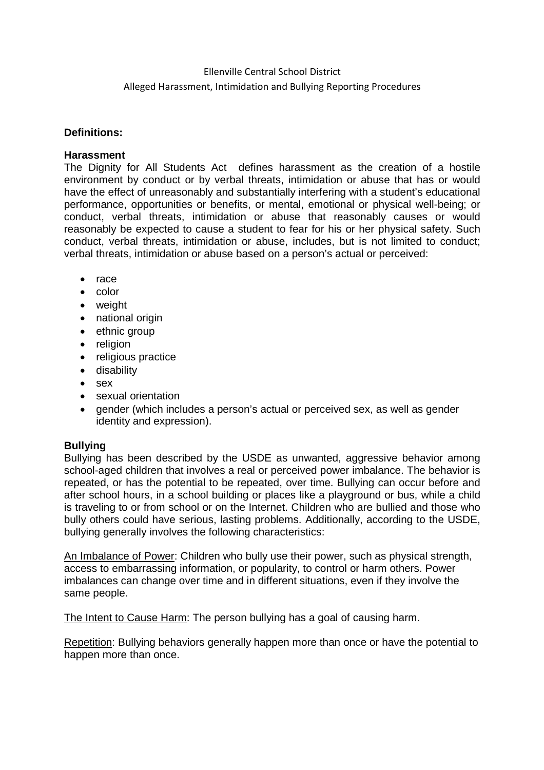#### Ellenville Central School District

#### Alleged Harassment, Intimidation and Bullying Reporting Procedures

#### **Definitions:**

#### **Harassment**

The Dignity for All Students Act defines harassment as the creation of a hostile environment by conduct or by verbal threats, intimidation or abuse that has or would have the effect of unreasonably and substantially interfering with a student's educational performance, opportunities or benefits, or mental, emotional or physical well-being; or conduct, verbal threats, intimidation or abuse that reasonably causes or would reasonably be expected to cause a student to fear for his or her physical safety. Such conduct, verbal threats, intimidation or abuse, includes, but is not limited to conduct; verbal threats, intimidation or abuse based on a person's actual or perceived:

- $•$  race
- $\bullet$  color
- weight
- national origin
- ethnic group
- religion
- religious practice
- disability
- sex
- sexual orientation
- gender (which includes a person's actual or perceived sex, as well as gender identity and expression).

# **Bullying**

Bullying has been described by the USDE as unwanted, aggressive behavior among school-aged children that involves a real or perceived power imbalance. The behavior is repeated, or has the potential to be repeated, over time. Bullying can occur before and after school hours, in a school building or places like a playground or bus, while a child is traveling to or from school or on the Internet. Children who are bullied and those who bully others could have serious, lasting problems. Additionally, according to the USDE, bullying generally involves the following characteristics:

An Imbalance of Power: Children who bully use their power, such as physical strength, access to embarrassing information, or popularity, to control or harm others. Power imbalances can change over time and in different situations, even if they involve the same people.

The Intent to Cause Harm: The person bullying has a goal of causing harm.

Repetition: Bullying behaviors generally happen more than once or have the potential to happen more than once.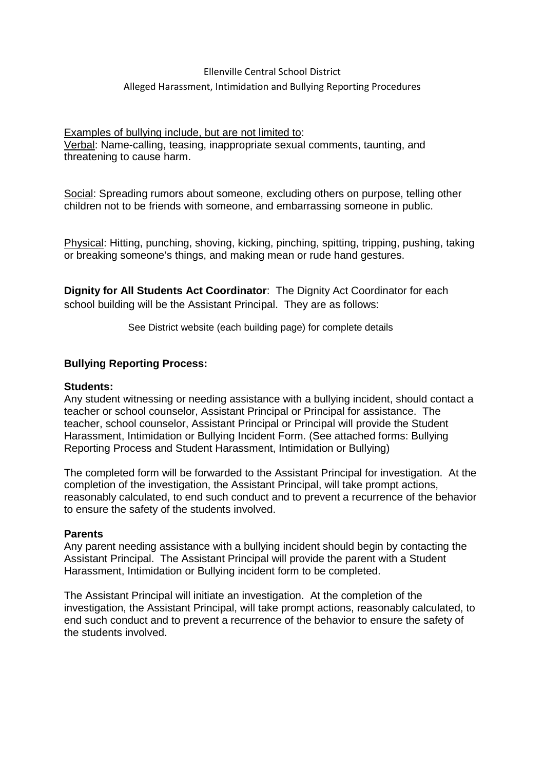# Ellenville Central School District Alleged Harassment, Intimidation and Bullying Reporting Procedures

#### Examples of bullying include, but are not limited to:

Verbal: Name-calling, teasing, inappropriate sexual comments, taunting, and threatening to cause harm.

Social: Spreading rumors about someone, excluding others on purpose, telling other children not to be friends with someone, and embarrassing someone in public.

Physical: Hitting, punching, shoving, kicking, pinching, spitting, tripping, pushing, taking or breaking someone's things, and making mean or rude hand gestures.

**Dignity for All Students Act Coordinator**: The Dignity Act Coordinator for each school building will be the Assistant Principal. They are as follows:

See District website (each building page) for complete details

# **Bullying Reporting Process:**

#### **Students:**

Any student witnessing or needing assistance with a bullying incident, should contact a teacher or school counselor, Assistant Principal or Principal for assistance. The teacher, school counselor, Assistant Principal or Principal will provide the Student Harassment, Intimidation or Bullying Incident Form. (See attached forms: Bullying Reporting Process and Student Harassment, Intimidation or Bullying)

The completed form will be forwarded to the Assistant Principal for investigation. At the completion of the investigation, the Assistant Principal, will take prompt actions, reasonably calculated, to end such conduct and to prevent a recurrence of the behavior to ensure the safety of the students involved.

#### **Parents**

Any parent needing assistance with a bullying incident should begin by contacting the Assistant Principal. The Assistant Principal will provide the parent with a Student Harassment, Intimidation or Bullying incident form to be completed.

The Assistant Principal will initiate an investigation. At the completion of the investigation, the Assistant Principal, will take prompt actions, reasonably calculated, to end such conduct and to prevent a recurrence of the behavior to ensure the safety of the students involved.